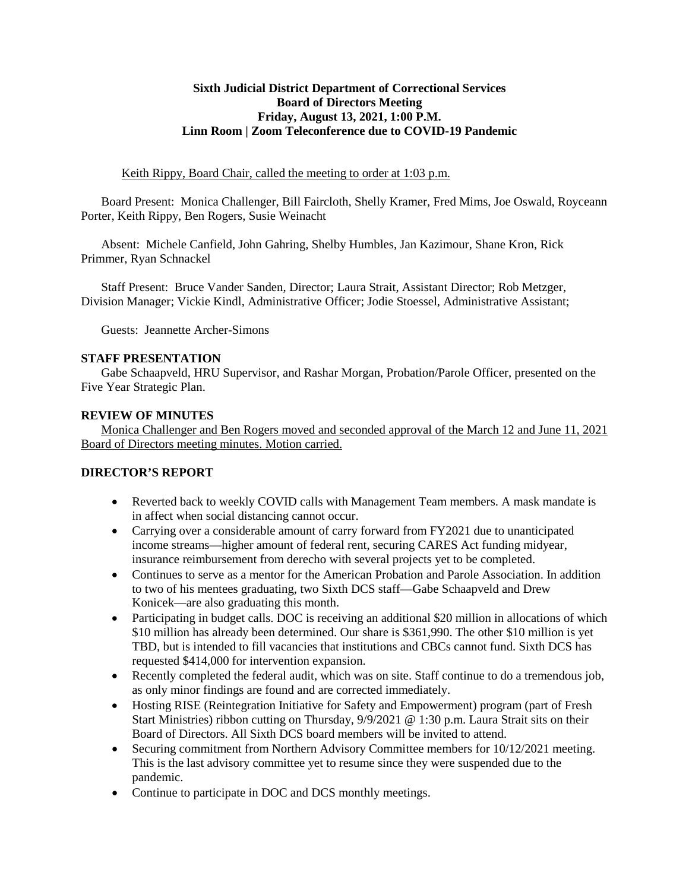#### **Sixth Judicial District Department of Correctional Services Board of Directors Meeting Friday, August 13, 2021, 1:00 P.M. Linn Room | Zoom Teleconference due to COVID-19 Pandemic**

Keith Rippy, Board Chair, called the meeting to order at 1:03 p.m.

Board Present: Monica Challenger, Bill Faircloth, Shelly Kramer, Fred Mims, Joe Oswald, Royceann Porter, Keith Rippy, Ben Rogers, Susie Weinacht

Absent: Michele Canfield, John Gahring, Shelby Humbles, Jan Kazimour, Shane Kron, Rick Primmer, Ryan Schnackel

Staff Present: Bruce Vander Sanden, Director; Laura Strait, Assistant Director; Rob Metzger, Division Manager; Vickie Kindl, Administrative Officer; Jodie Stoessel, Administrative Assistant;

Guests: Jeannette Archer-Simons

#### **STAFF PRESENTATION**

Gabe Schaapveld, HRU Supervisor, and Rashar Morgan, Probation/Parole Officer, presented on the Five Year Strategic Plan.

### **REVIEW OF MINUTES**

Monica Challenger and Ben Rogers moved and seconded approval of the March 12 and June 11, 2021 Board of Directors meeting minutes. Motion carried.

#### **DIRECTOR'S REPORT**

- Reverted back to weekly COVID calls with Management Team members. A mask mandate is in affect when social distancing cannot occur.
- Carrying over a considerable amount of carry forward from FY2021 due to unanticipated income streams—higher amount of federal rent, securing CARES Act funding midyear, insurance reimbursement from derecho with several projects yet to be completed.
- Continues to serve as a mentor for the American Probation and Parole Association. In addition to two of his mentees graduating, two Sixth DCS staff—Gabe Schaapveld and Drew Konicek—are also graduating this month.
- Participating in budget calls. DOC is receiving an additional \$20 million in allocations of which \$10 million has already been determined. Our share is \$361,990. The other \$10 million is yet TBD, but is intended to fill vacancies that institutions and CBCs cannot fund. Sixth DCS has requested \$414,000 for intervention expansion.
- Recently completed the federal audit, which was on site. Staff continue to do a tremendous job, as only minor findings are found and are corrected immediately.
- Hosting RISE (Reintegration Initiative for Safety and Empowerment) program (part of Fresh Start Ministries) ribbon cutting on Thursday, 9/9/2021 @ 1:30 p.m. Laura Strait sits on their Board of Directors. All Sixth DCS board members will be invited to attend.
- Securing commitment from Northern Advisory Committee members for 10/12/2021 meeting. This is the last advisory committee yet to resume since they were suspended due to the pandemic.
- Continue to participate in DOC and DCS monthly meetings.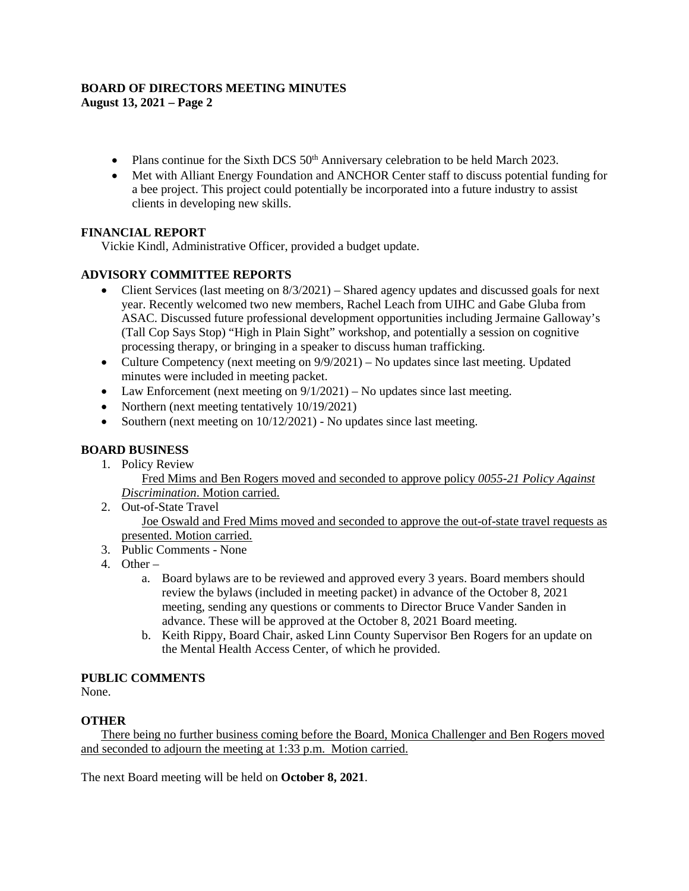# **BOARD OF DIRECTORS MEETING MINUTES**

**August 13, 2021 – Page 2**

- Plans continue for the Sixth DCS 50<sup>th</sup> Anniversary celebration to be held March 2023.
- Met with Alliant Energy Foundation and ANCHOR Center staff to discuss potential funding for a bee project. This project could potentially be incorporated into a future industry to assist clients in developing new skills.

# **FINANCIAL REPORT**

Vickie Kindl, Administrative Officer, provided a budget update.

# **ADVISORY COMMITTEE REPORTS**

- Client Services (last meeting on  $8/3/2021$ ) Shared agency updates and discussed goals for next year. Recently welcomed two new members, Rachel Leach from UIHC and Gabe Gluba from ASAC. Discussed future professional development opportunities including Jermaine Galloway's (Tall Cop Says Stop) "High in Plain Sight" workshop, and potentially a session on cognitive processing therapy, or bringing in a speaker to discuss human trafficking.
- Culture Competency (next meeting on  $9/9/2021$ ) No updates since last meeting. Updated minutes were included in meeting packet.
- Law Enforcement (next meeting on  $9/1/2021$ ) No updates since last meeting.
- Northern (next meeting tentatively 10/19/2021)
- Southern (next meeting on  $10/12/2021$ ) No updates since last meeting.

## **BOARD BUSINESS**

- 1. Policy Review Fred Mims and Ben Rogers moved and seconded to approve policy *0055-21 Policy Against Discrimination*. Motion carried.
- 2. Out-of-State Travel Joe Oswald and Fred Mims moved and seconded to approve the out-of-state travel requests as presented. Motion carried.
- 3. Public Comments None
- 4. Other
	- a. Board bylaws are to be reviewed and approved every 3 years. Board members should review the bylaws (included in meeting packet) in advance of the October 8, 2021 meeting, sending any questions or comments to Director Bruce Vander Sanden in advance. These will be approved at the October 8, 2021 Board meeting.
	- b. Keith Rippy, Board Chair, asked Linn County Supervisor Ben Rogers for an update on the Mental Health Access Center, of which he provided.

## **PUBLIC COMMENTS**

None.

## **OTHER**

There being no further business coming before the Board, Monica Challenger and Ben Rogers moved and seconded to adjourn the meeting at 1:33 p.m. Motion carried.

The next Board meeting will be held on **October 8, 2021**.